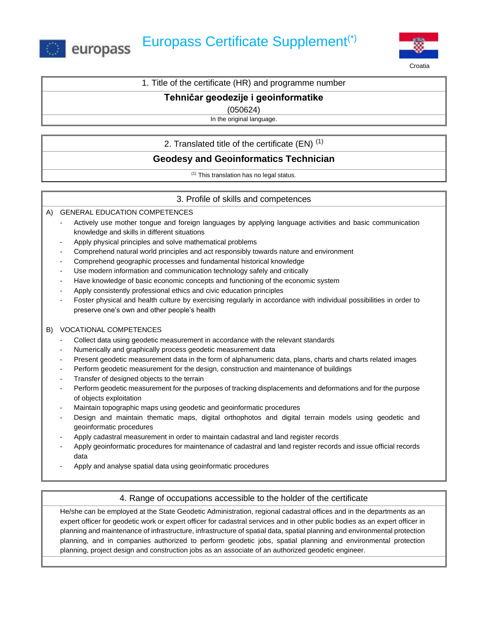



Croatia

## 1. Title of the certificate (HR) and programme number

### **Tehničar geodezije i geoinformatike**

(050624)

In the original language.

2. Translated title of the certificate  $(EN)^{(1)}$ 

# **Geodesy and Geoinformatics Technician**

(1) This translation has no legal status.

### 3. Profile of skills and competences

A) GENERAL EDUCATION COMPETENCES

- Actively use mother tongue and foreign languages by applying language activities and basic communication knowledge and skills in different situations
- Apply physical principles and solve mathematical problems
- Comprehend natural world principles and act responsibly towards nature and environment
- Comprehend geographic processes and fundamental historical knowledge
- Use modern information and communication technology safely and critically
- Have knowledge of basic economic concepts and functioning of the economic system
- Apply consistently professional ethics and civic education principles
- Foster physical and health culture by exercising regularly in accordance with individual possibilities in order to preserve one's own and other people's health

#### B) VOCATIONAL COMPETENCES

- Collect data using geodetic measurement in accordance with the relevant standards
- Numerically and graphically process geodetic measurement data
- Present geodetic measurement data in the form of alphanumeric data, plans, charts and charts related images
- Perform geodetic measurement for the design, construction and maintenance of buildings
- Transfer of designed objects to the terrain
- Perform geodetic measurement for the purposes of tracking displacements and deformations and for the purpose of objects exploitation
- Maintain topographic maps using geodetic and geoinformatic procedures
- Design and maintain thematic maps, digital orthophotos and digital terrain models using geodetic and geoinformatic procedures
- Apply cadastral measurement in order to maintain cadastral and land register records
- Apply geoinformatic procedures for maintenance of cadastral and land register records and issue official records data
- Apply and analyse spatial data using geoinformatic procedures

### 4. Range of occupations accessible to the holder of the certificate

He/she can be employed at the State Geodetic Administration, regional cadastral offices and in the departments as an expert officer for geodetic work or expert officer for cadastral services and in other public bodies as an expert officer in planning and maintenance of infrastructure, infrastructure of spatial data, spatial planning and environmental protection planning, and in companies authorized to perform geodetic jobs, spatial planning and environmental protection planning, project design and construction jobs as an associate of an authorized geodetic engineer.